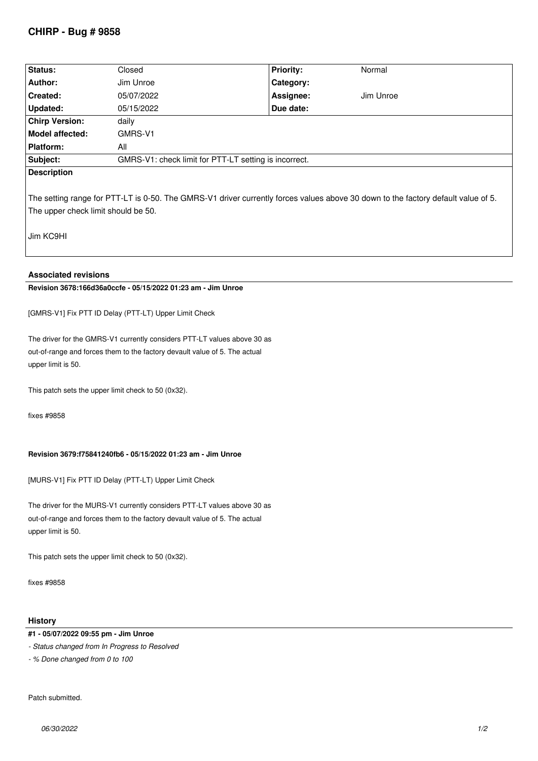# **CHIRP - Bug # 9858**

| Status:                                                                                                                           | Closed                                                | <b>Priority:</b> | Normal    |
|-----------------------------------------------------------------------------------------------------------------------------------|-------------------------------------------------------|------------------|-----------|
| Author:                                                                                                                           | Jim Unroe                                             | Category:        |           |
| <b>Created:</b>                                                                                                                   | 05/07/2022                                            | Assignee:        | Jim Unroe |
| Updated:                                                                                                                          | 05/15/2022                                            | Due date:        |           |
| <b>Chirp Version:</b>                                                                                                             | daily                                                 |                  |           |
| Model affected:                                                                                                                   | GMRS-V1                                               |                  |           |
| Platform:                                                                                                                         | All                                                   |                  |           |
| Subject:                                                                                                                          | GMRS-V1: check limit for PTT-LT setting is incorrect. |                  |           |
| <b>Description</b>                                                                                                                |                                                       |                  |           |
|                                                                                                                                   |                                                       |                  |           |
| The setting range for PTT-LT is 0-50. The GMRS-V1 driver currently forces values above 30 down to the factory default value of 5. |                                                       |                  |           |
| The upper check limit should be 50.                                                                                               |                                                       |                  |           |
|                                                                                                                                   |                                                       |                  |           |
| Jim KC9HI                                                                                                                         |                                                       |                  |           |
|                                                                                                                                   |                                                       |                  |           |
|                                                                                                                                   |                                                       |                  |           |
| <b>Associated revisions</b>                                                                                                       |                                                       |                  |           |

**Revision 3678:166d36a0ccfe - 05/15/2022 01:23 am - Jim Unroe** 

*[GMRS-V1] Fix PTT ID Delay (PTT-LT) Upper Limit Check*

*The driver for the GMRS-V1 currently considers PTT-LT values above 30 as out-of-range and forces them to the factory devault value of 5. The actual upper limit is 50.*

*This patch sets the upper limit check to 50 (0x32).*

*fixes #9858*

### **Revision 3679:f75841240fb6 - 05/15/2022 01:23 am - Jim Unroe**

*[MURS-V1] Fix PTT ID Delay (PTT-LT) Upper Limit Check*

*The driver for the MURS-V1 currently considers PTT-LT values above 30 as out-of-range and forces them to the factory devault value of 5. The actual upper limit is 50.*

*This patch sets the upper limit check to 50 (0x32).*

*fixes #9858*

### **History**

#### **#1 - 05/07/2022 09:55 pm - Jim Unroe**

*- Status changed from In Progress to Resolved*

*- % Done changed from 0 to 100*

*Patch submitted.*